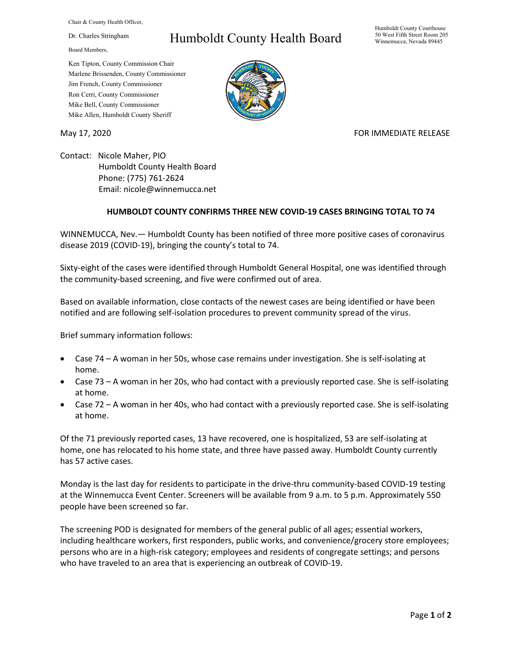Chair & County Health Officer,

Dr. Charles Stringham

Board Members,

## Ken Tipton, County Commission Chair

Marlene Brissenden, County Commissioner Jim French, County Commissioner Ron Cerri, County Commissioner Mike Bell, County Commissioner Mike Allen, Humboldt County Sheriff

Humboldt County Health Board

Humboldt County Courthouse 50 West Fifth Street Room 205 Winnemucca, Nevada 89445



## May 17, 2020 **FOR IMMEDIATE RELEASE**

Contact: Nicole Maher, PIO Humboldt County Health Board Phone: (775) 761-2624 Email: nicole@winnemucca.net

## **HUMBOLDT COUNTY CONFIRMS THREE NEW COVID-19 CASES BRINGING TOTAL TO 74**

WINNEMUCCA, Nev.— Humboldt County has been notified of three more positive cases of coronavirus disease 2019 (COVID-19), bringing the county's total to 74.

Sixty-eight of the cases were identified through Humboldt General Hospital, one was identified through the community-based screening, and five were confirmed out of area.

Based on available information, close contacts of the newest cases are being identified or have been notified and are following self-isolation procedures to prevent community spread of the virus.

Brief summary information follows:

- Case 74 A woman in her 50s, whose case remains under investigation. She is self-isolating at home.
- Case 73 A woman in her 20s, who had contact with a previously reported case. She is self-isolating at home.
- Case 72 A woman in her 40s, who had contact with a previously reported case. She is self-isolating at home.

Of the 71 previously reported cases, 13 have recovered, one is hospitalized, 53 are self-isolating at home, one has relocated to his home state, and three have passed away. Humboldt County currently has 57 active cases.

Monday is the last day for residents to participate in the drive-thru community-based COVID-19 testing at the Winnemucca Event Center. Screeners will be available from 9 a.m. to 5 p.m. Approximately 550 people have been screened so far.

The screening POD is designated for members of the general public of all ages; essential workers, including healthcare workers, first responders, public works, and convenience/grocery store employees; persons who are in a high-risk category; employees and residents of congregate settings; and persons who have traveled to an area that is experiencing an outbreak of COVID-19.